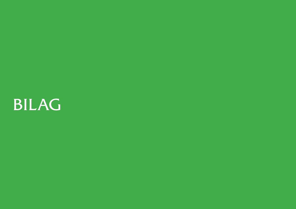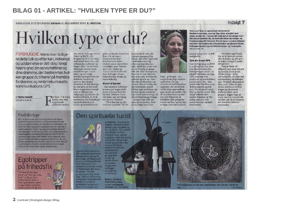# **BILAG 01 - ARTIKEL: "HVILKEN TYPE ER DU?"**

NORDJYSKE STIFTSTIDENDE SØNDAG 9. SEPTEMBER 2007 2. SEKTION

# Hvilken type er du?

**FORBRUGERE: Mens man tidlige**re delte folk op efter køn, indkomst og uddannelse er det i dag i langt høiere grad din selvopfattelse og dine drømme, der bestemmer, hvilken gruppe du tilhører på fremtidsforskerens og reklamebureauets kommunikations-GPS

#### **Af Karina Demuth**

central@nordivske.dk

or bare 15 år siden kunne man med nogenlunde sikkerhed bestem-

#### me, om en forbruger var til Gucci og BMW eller Brugsen og 2CV, hvis bare man havde deres køn, job. uddannelse, indkomst og bopæl. Men i en tid, hvor skolepiger render rundt med deres egen Guccitaske, og succesrige<br>forretningsmænd taler om holistiske værdier og serverer bæredygtig<br>chokolade til den økologiske cafe latte, er det straks blevet noget mere kompliceret at definere sin målgruppe og målrette sin

kommunikation. Et af de mennesker, der beskæftiger sig professionelt med trends og fremtidsforudsi-

gelser, er danske Anne Lise kommende år være det Kjær. Fra sin base i London driver hun trendbureauet Kiaer Global, som er specialister i at rådgive store firmaer som Sony, Nokia og Toyota cm alt fra fremtidens fortruger, til produktudviding, design og markedsforing. **Styret af hjertet** 

- Den moderne forbruger er mere end nogen sinde styret af hjertet frem for hjernen, forklarer Anne Lise Kjær, der selv betegner sig scm "futurist". "Hvordan har jeg det med dette produkt" vil i de de sig ifølge Anne Lise

vigtigste spørgsmål for mange, før varen ryger ned i indkøbskurven. Og eftersom man ikke kan måle en følelse, er der kun én vej. Nemlig at spørge folk selv. Ikke så meget om. hvem de er rent faktuelt, men mere om, hvordan de opfatter sig selv og - især hvordan de drømmer om at være. Det er nemlig det. der bestemmer, præcis hvilken type produkter, op-<br>levelser og serviceydelser man ender med at vælge ud af uendeligt mange mulige. Spørger man folk om deres kerneværdier, deler



Kjær - groft sagt - i to meget forskellige verdensopfattelser. De jegorienterede individualister (jægerne), der ser på livet ud fra deres egen uafhængige livsstil og værdier. Og de vi-orienterede (samlerne), som fokuserer på kollektive eller gruppebaserede værdier, og som har et langt mere samfundsori-

Anne Lise Kiær er oprindeligt uddannet på Konfektionsskolen, men har lige siden arbejdet med mode, design mv. - og specielt med det at forudsige, hvordan design udvikler sig, og hvad der bliver de design- og trendmæssige hit fremover. Fra sin base i London rådgiver hun store internationale virksomheder om globale trends, forbrugermønstre og fremtidsstrategier og -koncepter. WWW.KJAER-GLOBAL.COM

enteret syn på livet og dets muligheder.

#### **Tjek din trend-GPS**

Som et fingerpeg om, hvor vi er på vej hen, har Anne<br>Lise Kjær defineret fire forbrugertyper sat ind i et såkaldt trendatlas, en slags GPS, som man som producent og markedsfører sammenhæng de befinder kan navigere efter. Hun kalder dem The free-styler (frihedssøgende egoflipper), The spiritual tourist (den spirituelle turist). The happy boheme (den muntre boheme) og The caring explorer (den ansvarsbevidste opdagelsesrejsende).

en enkelt kategori, understreger hun. - Men de fleste vil og mindre af det andet. Måske svinge i deres

dyrker karrieren med en meget jeg-orienteret indfaldsvinkel, og til gengæld lægger vægt på nogle mere vi-orienterede hos familien i løbet af



alligevel være mest det ene selvopfattelse, alt efter den sig i. Et typisk eksempel er<br>dem, som i løbet af ugen værdier, når de er hiemme weekenden

## Find din type

Et af de firmaer, der har brugt Anne Lise Kjaers model til inspiration i deres sortimentssammensætning og markedsføring, er møbelkæden Idémøbler, der sammen med Ikea og Ilva repræsenterer en stor del af møbeludbuddet til den "ganske almindelige dansker". I det følgende har Anne Lise Kjær med udgangspunkt i møbelkædens nye katalog forsøgt at matche de fire nye forbrugertyper med møbler og brugskunst, som passer til de forskellige gruppers præferencer. Se, om du kan genkende dig selv eller naboen i en eller flere af beskrivelserne. Og tjek, om de viste produkter også matcher din smag. Bare sådan nogenlunde.

# Egotripper<br>på frihedsfix

"Verden er min legeplads" og "The sky is the limit" er denne freestylers motto. Man er først og fremmest styret af egne behov og lyster. sætter en ære i at gå nye





Ligesom free-styleren er den spirituelle turist mere optaget af sig selv og sin<br>personlige udvikling end i<br>at være en bidragende del af et fællesskab. Den spirituelle turist har indset. at "lykken kan ikke købes for penge - kun nås gennem personlig udvikling". Med en spirituel og vibrerende virkelighedsonfattelse er verden et guddommeligt tag-selv-

ord af fantastiske nye

# Den spirituelle turist

muligheder. Man powershopper veloplagt mellem fitness, yoga og pilates og<br>har en diætist til at veilede sig i junglen mellem Atkinson-mad, udrensningskure (eller detox, som man kalder det på godt dansk) og spis-efter-dinaura-og-blodtype. Stuerne er indrettet

med hjælp fra den personlige feng shuicoach, og største luksus er en hiemmespa med indbygget massage og aromaterapi.

**Bloklys, 10-24 kr.** Puff, 400 kr. Body scrub, massageolie badesalt m.v., 79-129 kr.



Find sandheden om dig selv. Stjernetegn, 24 x 24 cm, 700 kr. pr. FOTO: IDEMPSI

#### Indsigt 7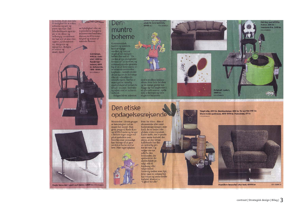de hobby, hvor man kan få mulighed for at vokse, udfordre sig selv og prove nye veje. Den frihedselskende egotripper er en elitær og uafhængig connoisseur, der har styr på sine vine, cigarer, sportsrekvisitter, designere og tøjmærker. Boligen

Eagle-lænestol i blødt sort læder, 3499 kr. roto. DEMBRLER

er lækker og

smart, typisk

en bylejlighed eller en topmoderne bungalow indrettet med multimedierum med hiemmebiograf og masser af tekniske finesser.

#### Gulvlampe, 999 kr. Armstol, 1499 kr. Rundt hjørnebord, 699 kr. Sofaborde,

Den

muntre

boheme

Kammeratskab,<br>familie og sammen-

værdier, og børn er<br>noget af det dejligste -

hellere fire end to! "En

verden af nye muligheder

forener os" er mottoet, og<br>videreuddannelse gennem<br>leg er en af dette stærkt vi-

orienterede menneskes

kæpheste - uanset om det drejer sig om de helt unge

hold er vigtige

1199 - 1999 kr. FOTO: IDÉMOBLER

> éller de veletablerede seniorborgere. Derfor er man også en naturlig<br>storforbruger af kulturelle tilbud - museer, festivaler og rejser med et kulturelt indhold. **Boligen bliver indrettet**

med store åbne kokkenalrum, hvor hele familien

plads til hele familien,

FOTO: IDEMORITE

8999 kr.

og de mange gæster kan<br>hygge sig ved langbordet i et uformelt samvær, spille spil, se fjernsyn og være noget for hinanden.

# Den etiske opdagelsesrejsende

Mennesker i denne gruppe er kendetegnet ved en meget høj moral. Man giver penge til Røde Kors<br>og AIDS-Fondet og bruger i det hele taget meget tid på at spekulere over. hvordan man personligt kan bidrage til at gøre verden et bedre sted at leve. Man tager cykelen



hedsmæssige årsager, men fordi det er bedre i det globale etiske regnskab. Køber kaffe, der er produceret under forhold, der sikrer, at den fattige kaffebonde har fået en ordentlig pris for sin vare. Og vælger sin nye sofa fra den leverandør, der sponsorerer det største beløb pr. solgt sofa til forskning eller velgørenhed. Samtidig tjekker man lige, hvor træet til sofaens ben har vokset og under hvilke forhold. Mottoet er

"Lighed for alle".

frem for bilen - ikke af

økonomiske eller sund-

Originalt maleri, 1999 kr. FOTO: IDÉMOBLER

Vægtrofæ, 399 kr. Bambuslampe 399 kr. Te-service 149 kr. Store hvide guldvaser, 499-999 kr. Palmeblad, 69 kr. FOTO: IDÉMOBLER

Hamilton-lænestol i øko-look, 4999 kr.

FOTO: IDÉMOBLER

Fat Boy-puf 699 kr.

Vækkeur-frø, 249 kr.

**Kukur, 399 kr.** 

FOTO: IDÉMOBLER

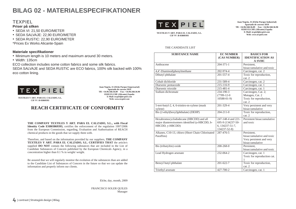# **BILAG 02 - MATERIALESPECIFIKATIONER**

#### **TEXPIEL**

#### **Priser på silken**

- SEDA VI: 21,50 EURO/METER
- SEDA SALVAJE: 22,90 EURO/METER
- SEDA RUSTIC: 22,90 EURO/METER
- \*Prices Ex Works Alicante-Spain



**TEXTILES Y ART. PARA EL CALZADO, S.L. CIF Nº: B-03869393** 

**Juan Negrín, 31 (Elche Parque Industrial) Apartado de correos 5019 Tlf: +34.96.568.36.89 Fax: +34.96.568.36.90 03203 ELCHE (Alicante) España E-Mail:** *texpiel@texpiel.com* **Web:** *www.texpiel.com*

#### THE CANDIDATE LIST

| <b>SUBSTANCE NAME</b>                                                                                       | <b>EC NUMBER</b><br>(CAS NUMBER)                                           | <b>BASICS FOR</b><br><b>IDENTIFICATION AS</b><br><b>A SVHC</b>                          |
|-------------------------------------------------------------------------------------------------------------|----------------------------------------------------------------------------|-----------------------------------------------------------------------------------------|
| Anthracene                                                                                                  | $204 - 371 - 1$                                                            | Persistent.<br>bioaccumulative and toxic                                                |
| 4,4'-Diaminodiphenylmethane                                                                                 | 202-974-4                                                                  | Carcinogen, cat. 2                                                                      |
| Dibutyl phthalate                                                                                           | $201 - 557 - 4$                                                            | Toxic for reproduction,<br>cat. 2                                                       |
| Cobalt dichloride                                                                                           | 231-589-4                                                                  | Carcinogen, cat. 2                                                                      |
| Diarsenic pentaoxide                                                                                        | 215-116-9                                                                  | Carcinogen, cat. 1                                                                      |
| Diarsenic trioxide                                                                                          | 215-481-4                                                                  | Carcinogen, cat. 1                                                                      |
| Sodium dichromate                                                                                           | 234-190-3<br>$(7789-12-0)$<br>$10588 - 01 - 9$                             | Carcinogen, Cat. 2;<br>Mutagen, Cat. 2<br>Toxic for reproduction,<br>cat. 2             |
| 5-tert-butyl-2, 4, 6-trinitro-m-xylene (musk<br>xylene)                                                     | 201-329-4                                                                  | Very persistent and very<br>bioaccumulative                                             |
| Bis (2-ethyl(hexyl)phthalate) (DEHP)                                                                        | $204 - 211 - 0$                                                            | Toxic for reproduction,<br>cat. 2                                                       |
| Hexabromocyclododecane (HBCDD) and all<br>major diastereoisomers identified (a-HBCDD, b-<br>HBCDD, y-HBCDD) | 247-148-4 and 221-<br>695-9 (134237-50-<br>6, 134237-51-7,<br>134237-52-8) | Persistent bioaccumulative<br>and toxic                                                 |
| Alkanes, C10-13, chloro (Short Chain Chlorinated<br>Paraffins)                                              | 287-476-5                                                                  | Persistent.<br>bioaccumulative and toxic<br>Very persistent and very<br>bioaccumulative |
| Bis (tributyltin) oxide                                                                                     | $200 - 268 - 0$                                                            | Persistent,<br>bioaccumulative and toxic                                                |
| Lead Hydrogen arsenate                                                                                      | 232-064-2                                                                  | Carcinogen, cat. 1<br>Toxic for reproduction cat.<br>1                                  |
| Benzyl butyl phthalate                                                                                      | $201 - 622 - 7$                                                            | Toxic for reproduction,<br>cat. 2                                                       |
| Triethyl arsenate                                                                                           | 427-700-2                                                                  | Carcinogen, cat. 1                                                                      |

#### **Materiale specifi kationer**

- Minimum length is 10 meters and maximum around 30 meters.
- Width: 135cm

ECO collection includes some cotton fabrics and some silk fabrics. SEDA SALVAJE and SEDA RUSTIC are ECO fabrics, 100% silk backed with 100% eco cotton lining.



**Juan Negrín, 31 (Elche Parque Empresarial) Apartado de correos 5019 Tlf: +34.96.568.36.89 Fax: +34.96.568.36.90 03203 ELCHE (Alicante) España E-Mail:** *texpiel@texpiel.com* **Web:** *www.texpiel.com*

**TEXTILES Y ART. PARA EL CALZADO, S.L. CIF Nº: B-03869393** 

### **REACH CERTIFICATE OF CONFORMITY**

**THE COMPANY TEXTILES Y ART. PARA EL CALZADO, S.L., with Fiscal Identity Code ESB03869393,** certifies the enforcement of the regulation 1997/2006 from the European Commission, regarding, Evaluation and Authorisation of REACH chemical products in the goods that we supply them with.

Therefore, and based on the information provided by our suppliers, **THE COMPANY TEXTILES Y ART. PARA EL CALZADO, S.L. CERTIFIES THAT** the article/s supplied **DO NOT** contain the following substances that are included in the List of Candidate Substances of Concern published by the European Chemicals Agency, in a concentration higher than 0.1 % in weight/ weight.

Be assured that we will regularly monitor the evolution of the substances than are added to the Candidate List of Substances of Concern in the future so that we can update the information and properly inform our clients.

Elche, day, month, 2009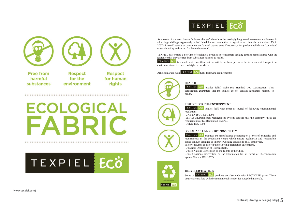



**Free from** harmful substances

**Respect** for the environment

**Respect** for human rights

# **ECOLOGICAL** FARR

# **TEXPIEL ECO**

As a result of the now famous "climate change", there is an increasingly heightened awareness and interest in all ecological things. Apparently in the United States consumption of organic or eco items is on the rise (17% in 2007). It would seem that consumers don't mind paying extra if necessary, for products which are "committed to sustainability and caring for the environment".

TEXPIEL has created a new line of ecological products for customers seeking textiles manufactured with the guarantee that they are free from substances harmful to health.

**TEXPIEL**  $\frac{1}{x}$  ECO is a mark which certifies that the article has been produced in factories which respect the environment and the universal rights of workers.

Articles marked with  $T^{\text{EXPIEL}}$  **ECO** fulfil following requirements:

# **HEALTH**<br>TEXPIEL



 textiles fulfill Oeko-Tex Standard 100 Certification. This certification guarantees that the textiles do not contain substances harmful to health.

TEXPIEL ECO

#### **RESPECT FOR THE ENVIRONMENT**

TEXPIEL ECO textiles fulfil with some or several of following environmental regulations:

-UNE-EN ISO 14001:2000

-EMAS: Environmental Management System certifies that the company fulfils all requirements of EC Regulation 1836/93. -OEKO TEX 1000

#### **SOCIAL AND LABOUR RESPONSIBILITY**

TEXPIEL ECO products are manufactured according to a series of principles and requirements in the production centre which ensure egalitarian and responsible social conduct designed to improve working conditions of all employees.

Factory assumes as its own the following declaration agreements.

-Universal Declaration of Human Right.

-United Nations Convention on the Rights of the Child.

-United Nations Convention on the Elimination for all forms of Discrimination against Women (CEDAW).

## **RECYCLED TEXTILES**

Some of  $T^{\text{EXPIEL}}$  **EG**<sup> $\sigma$ </sup> products are also made with RECYCLED yarns. These textiles are marked with the International symbol for Recycled materials.

**[www.texpiel.com]**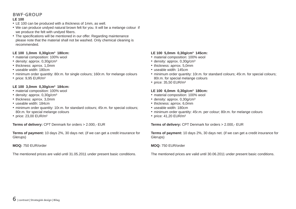#### **BWF‐GROUP LE 100**

- LE 100 can be produced with a thickness of 1mm, as well.
- We can produce undyed natural brown felt for you. It will be a melange colour if we produce the felt with undyed fibers.
- The specifications will be mentioned in our offer. Regarding maintenance please note that the material shall not be washed. Only chemical cleaning is recommended.

#### **LE 100 1,0mm 0,30g/cm³ 180cm:**

- material composition: 100% wool
- density: approx. 0,30g/cm<sup>3</sup>
- thickness: aprrox. 1,0mm
- useable width: 180cm
- minimum order quantity: 80r.m. for single colours; 160r.m. for melange colours
- price: 9,95 EUR/m²

#### **LE 100 3,0mm 0,30g/cm³ 184cm:**

- material composition: 100% wool
- density: approx. 0,30g/cm<sup>3</sup>
- thickness: aprrox. 3,0mm
- useable width: 184cm
- minimum order quantity: 10r.m. for standard colours; 45r.m. for special colours; 80r.m. for special melange colours
- price: 23,00 EUR/m²

**Terms of delivery:** CPT Denmark for orders > 2.000,- EUR

**Terms of payment:** 10 days 2%, 30 days net. (if we can get a credit insurance for Glerups)

#### **MOQ:** 750 EUR/order

The mentioned prices are valid until 31.05.2011 under present basic conditions.

#### **LE 100 5,0mm 0,30g/cm³ 145cm:**

- material composition: 100% wool
- density: approx. 0,30g/cm<sup>3</sup>
- thickness: aprrox. 5,0mm
- useable width: 145cm
- minimum order quantity: 10r.m. for standard colours; 45r.m. for special colours; 80r.m. for special melange colours
- price: 35,50 EUR/m²

#### **LE 100 6,0mm 0,30g/cm³ 180cm:**

- material composition: 100% wool
- density: approx. 0,30g/cm<sup>3</sup>
- thickness: aprrox. 6,0mm
- useable width: 180cm
- minimum order quantity: 45r.m. per colour; 80r.m. for melange colours
- price: 41,20 EUR/m<sup>2</sup>

**Terms of delivery:** CPT Denmark for orders > 2.000,- EUR

**Terms of payment:** 10 days 2%, 30 days net. (if we can get a credit insurance for Glerups)

#### **MOQ:** 750 EUR/order

The mentioned prices are valid until 30.06.2011 under present basic conditions.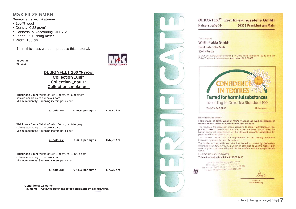#### **M&K FILZE GMBH Designfelt specifi kationer**

- 100 % wool
- Density: 0,28 gr./m<sup>3</sup>
- Hartness: M5 according DIN 61200
- Lengh: 25 running meter
- Width: 180 cm

In 1 mm thickness we don't produce this material.

**PRICELIST**  01 / 2011



#### **DESIGNFELT 100 % wool Collection "uni" Collection "natur" Collection "melange"**

**Thickness 2 mm**, Width of rolls 180 cm, ca. 600 g/sqm colours according to our colour card Minimumquantity: 5 running meters per colour

**all colours: € 20,50 per sqm = € 36,50 / m**

**Thickness 3 mm**, Width of rolls 180 cm, ca. 840 g/sqm colours according to our colour card Minimumquantity: 5 running meters per colour



**all colours: € 26,50 per sqm = € 47,70 / m**

**Thickness 5 mm**, Width of rolls 180 cm, ca. 1.400 g/sqm colours according to our colour card Minimumquantity: 3 running meters per colour

**all colours: € 44,00 per sqm = € 79,20 / m** 

**Conditions: ex works Payment: Advance-payment before shipment by banktransfer.**



OEKO-TEX<sup>®</sup> Zertifizierungsstelle GmbH Kaiserstraße 39 60329 Frankfurt am Main

#### The company

Wirth Fulda GmbH

Frankfurter Straße 62

36043 Fulda

is granted authorization according to Oeko-Tex® Standard 100 to use the Oeko-Tex® mark, based on our test report 09.0.69888

# **Tested for harmful substances**

according to Oeko-Tex Standard 100

Hohenstein

for the following articles:

Test-No. 94.0.6806

Felts made of 100% wool or 100% viscose as well as blends of wool/viscose, white or dyed in different colours.

The results of the inspection made according to Oeko-Tex® Standard 100, product class II have shown that the above mentioned goods meet the human-ecological requirements of the standard presently established for products with direct contact to skin.

The certified articles fulfil the requirements of the existing European legislation regarding the use of azo-dyes.

The holder of the certificate, who has issued a conformity declaration according to EN ISO 17050-1, is under an obligation to use the Oeko-Tex® mark only in conjunction with products that conform with the sample initially tested

Frankfurt am Main, 17.12.2009

This authorisation is valid until 30.09.2010

Oeke-Tex Zertifizierungsstelle GrabH Oeke-Tex Zertifizierungssteine Grimm M.<br>Karensen, 39 – 60329 Franskund M.<br>Tel. +40 (0) e9-400 54 08-0, Fax: 400 34 08 299 e-mail: info@zertifizierung-bekotex.com

> Julta Knels Geschäftsführung